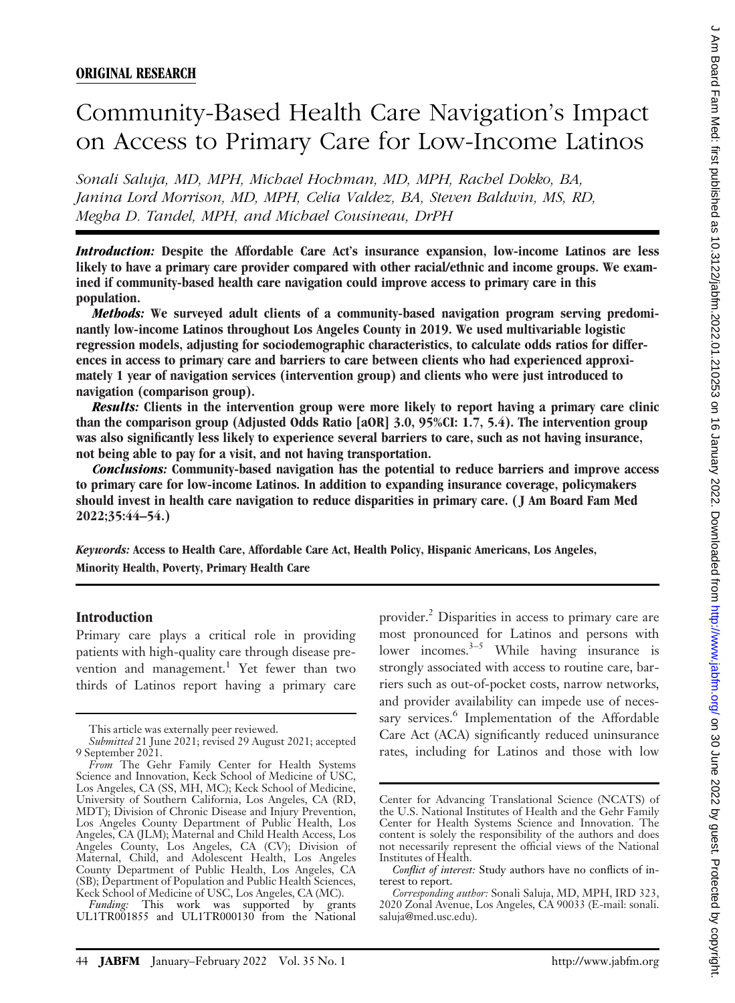# Community-Based Health Care Navigation's Impact on Access to Primary Care for Low-Income Latinos

Sonali Saluja, MD, MPH, Michael Hochman, MD, MPH, Rachel Dokko, BA, Janina Lord Morrison, MD, MPH, Celia Valdez, BA, Steven Baldwin, MS, RD, Megha D. Tandel, MPH, and Michael Cousineau, DrPH

Introduction: Despite the Affordable Care Act's insurance expansion, low-income Latinos are less likely to have a primary care provider compared with other racial/ethnic and income groups. We examined if community-based health care navigation could improve access to primary care in this population.

Methods: We surveyed adult clients of a community-based navigation program serving predominantly low-income Latinos throughout Los Angeles County in 2019. We used multivariable logistic regression models, adjusting for sociodemographic characteristics, to calculate odds ratios for differences in access to primary care and barriers to care between clients who had experienced approximately 1 year of navigation services (intervention group) and clients who were just introduced to navigation (comparison group).

Results: Clients in the intervention group were more likely to report having a primary care clinic than the comparison group (Adjusted Odds Ratio [aOR] 3.0, 95%CI: 1.7, 5.4). The intervention group was also significantly less likely to experience several barriers to care, such as not having insurance, not being able to pay for a visit, and not having transportation.

Conclusions: Community-based navigation has the potential to reduce barriers and improve access to primary care for low-income Latinos. In addition to expanding insurance coverage, policymakers should invest in health care navigation to reduce disparities in primary care. ( J Am Board Fam Med 2022;35:44–54.)

Keywords: Access to Health Care, Affordable Care Act, Health Policy, Hispanic Americans, Los Angeles, Minority Health, Poverty, Primary Health Care

#### Introduction

Primary care plays a critical role in providing patients with high-quality care through disease prevention and management.<sup>1</sup> Yet fewer than two thirds of Latinos report having a primary care

Funding: This work was supported by grants UL1TR001855 and UL1TR000130 from the National

provider.2 Disparities in access to primary care are most pronounced for Latinos and persons with lower incomes. $3-5$  While having insurance is strongly associated with access to routine care, barriers such as out-of-pocket costs, narrow networks, and provider availability can impede use of necessary services.<sup>6</sup> Implementation of the Affordable Care Act (ACA) significantly reduced uninsurance rates, including for Latinos and those with low

This article was externally peer reviewed.

Submitted 21 June 2021; revised 29 August 2021; accepted 9 September 2021.

From The Gehr Family Center for Health Systems Science and Innovation, Keck School of Medicine of USC, Los Angeles, CA (SS, MH, MC); Keck School of Medicine, University of Southern California, Los Angeles, CA (RD, MDT); Division of Chronic Disease and Injury Prevention, Los Angeles County Department of Public Health, Los Angeles, CA (JLM); Maternal and Child Health Access, Los Angeles County, Los Angeles, CA (CV); Division of Maternal, Child, and Adolescent Health, Los Angeles County Department of Public Health, Los Angeles, CA (SB); Department of Population and Public Health Sciences, Keck School of Medicine of USC, Los Angeles, CA (MC).

Center for Advancing Translational Science (NCATS) of the U.S. National Institutes of Health and the Gehr Family Center for Health Systems Science and Innovation. The content is solely the responsibility of the authors and does not necessarily represent the official views of the National Institutes of Health.

Conflict of interest: Study authors have no conflicts of interest to report.

Corresponding author: Sonali Saluja, MD, MPH, IRD 323, 2020 Zonal Avenue, Los Angeles, CA 90033 (E-mail: [sonali.](mailto:sonali.saluja@med.usc.edu) [saluja@med.usc.edu\)](mailto:sonali.saluja@med.usc.edu).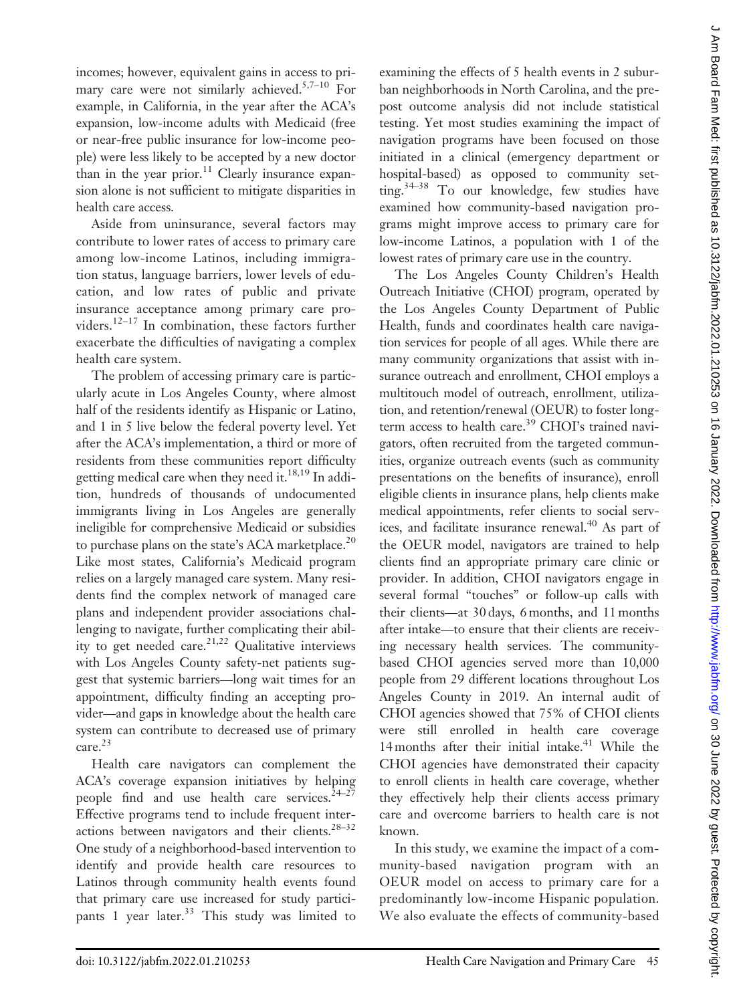incomes; however, equivalent gains in access to primary care were not similarly achieved.<sup>5,7–10</sup> For example, in California, in the year after the ACA's expansion, low-income adults with Medicaid (free or near-free public insurance for low-income people) were less likely to be accepted by a new doctor than in the year prior.<sup>11</sup> Clearly insurance expansion alone is not sufficient to mitigate disparities in health care access.

Aside from uninsurance, several factors may contribute to lower rates of access to primary care among low-income Latinos, including immigration status, language barriers, lower levels of education, and low rates of public and private insurance acceptance among primary care providers.12–<sup>17</sup> In combination, these factors further exacerbate the difficulties of navigating a complex health care system.

The problem of accessing primary care is particularly acute in Los Angeles County, where almost half of the residents identify as Hispanic or Latino, and 1 in 5 live below the federal poverty level. Yet after the ACA's implementation, a third or more of residents from these communities report difficulty getting medical care when they need it. $^{18,19}$  In addition, hundreds of thousands of undocumented immigrants living in Los Angeles are generally ineligible for comprehensive Medicaid or subsidies to purchase plans on the state's ACA marketplace.<sup>20</sup> Like most states, California's Medicaid program relies on a largely managed care system. Many residents find the complex network of managed care plans and independent provider associations challenging to navigate, further complicating their ability to get needed care. $21,22$  Qualitative interviews with Los Angeles County safety-net patients suggest that systemic barriers—long wait times for an appointment, difficulty finding an accepting provider—and gaps in knowledge about the health care system can contribute to decreased use of primary care.<sup>23</sup>

Health care navigators can complement the ACA's coverage expansion initiatives by helping people find and use health care services. $24-27$ Effective programs tend to include frequent interactions between navigators and their clients.<sup>28-32</sup> One study of a neighborhood-based intervention to identify and provide health care resources to Latinos through community health events found that primary care use increased for study participants 1 year later.<sup>33</sup> This study was limited to examining the effects of 5 health events in 2 suburban neighborhoods in North Carolina, and the prepost outcome analysis did not include statistical testing. Yet most studies examining the impact of navigation programs have been focused on those initiated in a clinical (emergency department or hospital-based) as opposed to community setting.<sup>34–38</sup> To our knowledge, few studies have examined how community-based navigation programs might improve access to primary care for low-income Latinos, a population with 1 of the lowest rates of primary care use in the country.

The Los Angeles County Children's Health Outreach Initiative (CHOI) program, operated by the Los Angeles County Department of Public Health, funds and coordinates health care navigation services for people of all ages. While there are many community organizations that assist with insurance outreach and enrollment, CHOI employs a multitouch model of outreach, enrollment, utilization, and retention/renewal (OEUR) to foster longterm access to health care.<sup>39</sup> CHOI's trained navigators, often recruited from the targeted communities, organize outreach events (such as community presentations on the benefits of insurance), enroll eligible clients in insurance plans, help clients make medical appointments, refer clients to social services, and facilitate insurance renewal.<sup>40</sup> As part of the OEUR model, navigators are trained to help clients find an appropriate primary care clinic or provider. In addition, CHOI navigators engage in several formal "touches" or follow-up calls with their clients—at 30 days, 6 months, and 11 months after intake—to ensure that their clients are receiving necessary health services. The communitybased CHOI agencies served more than 10,000 people from 29 different locations throughout Los Angeles County in 2019. An internal audit of CHOI agencies showed that 75% of CHOI clients were still enrolled in health care coverage 14 months after their initial intake. $41$  While the CHOI agencies have demonstrated their capacity to enroll clients in health care coverage, whether they effectively help their clients access primary care and overcome barriers to health care is not known.

In this study, we examine the impact of a community-based navigation program with an OEUR model on access to primary care for a predominantly low-income Hispanic population. We also evaluate the effects of community-based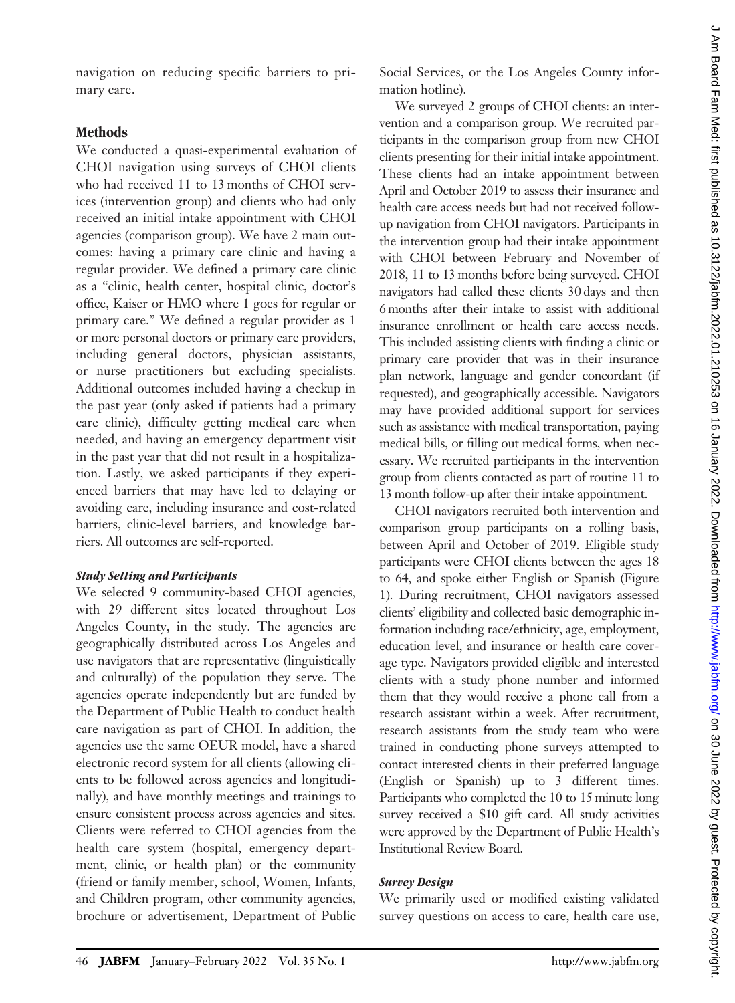navigation on reducing specific barriers to primary care.

# Methods

We conducted a quasi-experimental evaluation of CHOI navigation using surveys of CHOI clients who had received 11 to 13 months of CHOI services (intervention group) and clients who had only received an initial intake appointment with CHOI agencies (comparison group). We have 2 main outcomes: having a primary care clinic and having a regular provider. We defined a primary care clinic as a "clinic, health center, hospital clinic, doctor's office, Kaiser or HMO where 1 goes for regular or primary care." We defined a regular provider as 1 or more personal doctors or primary care providers, including general doctors, physician assistants, or nurse practitioners but excluding specialists. Additional outcomes included having a checkup in the past year (only asked if patients had a primary care clinic), difficulty getting medical care when needed, and having an emergency department visit in the past year that did not result in a hospitalization. Lastly, we asked participants if they experienced barriers that may have led to delaying or avoiding care, including insurance and cost-related barriers, clinic-level barriers, and knowledge barriers. All outcomes are self-reported.

#### Study Setting and Participants

We selected 9 community-based CHOI agencies, with 29 different sites located throughout Los Angeles County, in the study. The agencies are geographically distributed across Los Angeles and use navigators that are representative (linguistically and culturally) of the population they serve. The agencies operate independently but are funded by the Department of Public Health to conduct health care navigation as part of CHOI. In addition, the agencies use the same OEUR model, have a shared electronic record system for all clients (allowing clients to be followed across agencies and longitudinally), and have monthly meetings and trainings to ensure consistent process across agencies and sites. Clients were referred to CHOI agencies from the health care system (hospital, emergency department, clinic, or health plan) or the community (friend or family member, school, Women, Infants, and Children program, other community agencies, brochure or advertisement, Department of Public

Social Services, or the Los Angeles County information hotline).

We surveyed 2 groups of CHOI clients: an intervention and a comparison group. We recruited participants in the comparison group from new CHOI clients presenting for their initial intake appointment. These clients had an intake appointment between April and October 2019 to assess their insurance and health care access needs but had not received followup navigation from CHOI navigators. Participants in the intervention group had their intake appointment with CHOI between February and November of 2018, 11 to 13 months before being surveyed. CHOI navigators had called these clients 30 days and then 6 months after their intake to assist with additional insurance enrollment or health care access needs. This included assisting clients with finding a clinic or primary care provider that was in their insurance plan network, language and gender concordant (if requested), and geographically accessible. Navigators may have provided additional support for services such as assistance with medical transportation, paying medical bills, or filling out medical forms, when necessary. We recruited participants in the intervention group from clients contacted as part of routine 11 to 13 month follow-up after their intake appointment.

CHOI navigators recruited both intervention and comparison group participants on a rolling basis, between April and October of 2019. Eligible study participants were CHOI clients between the ages 18 to 64, and spoke either English or Spanish (Figure 1). During recruitment, CHOI navigators assessed clients' eligibility and collected basic demographic information including race/ethnicity, age, employment, education level, and insurance or health care coverage type. Navigators provided eligible and interested clients with a study phone number and informed them that they would receive a phone call from a research assistant within a week. After recruitment, research assistants from the study team who were trained in conducting phone surveys attempted to contact interested clients in their preferred language (English or Spanish) up to 3 different times. Participants who completed the 10 to 15 minute long survey received a \$10 gift card. All study activities were approved by the Department of Public Health's Institutional Review Board.

## Survey Design

We primarily used or modified existing validated survey questions on access to care, health care use,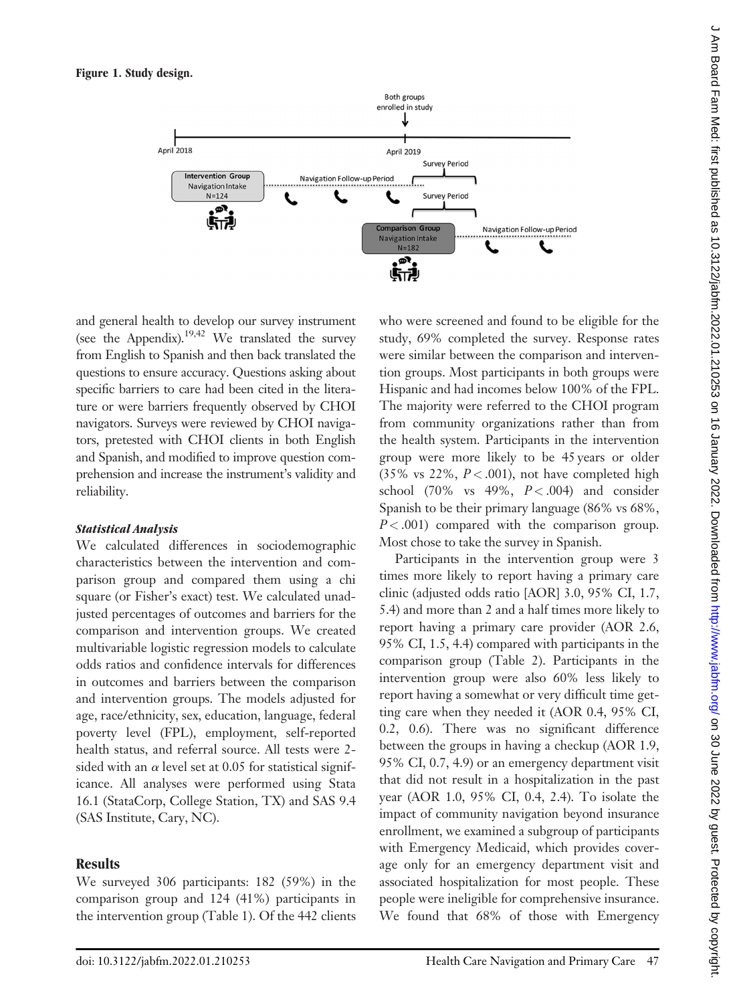

and general health to develop our survey instrument (see the Appendix).<sup>19,42</sup> We translated the survey from English to Spanish and then back translated the questions to ensure accuracy. Questions asking about specific barriers to care had been cited in the literature or were barriers frequently observed by CHOI navigators. Surveys were reviewed by CHOI navigators, pretested with CHOI clients in both English and Spanish, and modified to improve question comprehension and increase the instrument's validity and reliability.

#### Statistical Analysis

We calculated differences in sociodemographic characteristics between the intervention and comparison group and compared them using a chi square (or Fisher's exact) test. We calculated unadjusted percentages of outcomes and barriers for the comparison and intervention groups. We created multivariable logistic regression models to calculate odds ratios and confidence intervals for differences in outcomes and barriers between the comparison and intervention groups. The models adjusted for age, race/ethnicity, sex, education, language, federal poverty level (FPL), employment, self-reported health status, and referral source. All tests were 2 sided with an  $\alpha$  level set at 0.05 for statistical significance. All analyses were performed using Stata 16.1 (StataCorp, College Station, TX) and SAS 9.4 (SAS Institute, Cary, NC).

## Results

We surveyed 306 participants: 182 (59%) in the comparison group and 124 (41%) participants in the intervention group (Table 1). Of the 442 clients

who were screened and found to be eligible for the study, 69% completed the survey. Response rates were similar between the comparison and intervention groups. Most participants in both groups were Hispanic and had incomes below 100% of the FPL. The majority were referred to the CHOI program from community organizations rather than from the health system. Participants in the intervention group were more likely to be 45 years or older (35% vs 22%,  $P < .001$ ), not have completed high school (70% vs 49%,  $P < .004$ ) and consider Spanish to be their primary language (86% vs 68%,  $P < .001$ ) compared with the comparison group. Most chose to take the survey in Spanish.

Participants in the intervention group were 3 times more likely to report having a primary care clinic (adjusted odds ratio [AOR] 3.0, 95% CI, 1.7, 5.4) and more than 2 and a half times more likely to report having a primary care provider (AOR 2.6, 95% CI, 1.5, 4.4) compared with participants in the comparison group (Table 2). Participants in the intervention group were also 60% less likely to report having a somewhat or very difficult time getting care when they needed it (AOR 0.4, 95% CI, 0.2, 0.6). There was no significant difference between the groups in having a checkup (AOR 1.9, 95% CI, 0.7, 4.9) or an emergency department visit that did not result in a hospitalization in the past year (AOR 1.0, 95% CI, 0.4, 2.4). To isolate the impact of community navigation beyond insurance enrollment, we examined a subgroup of participants with Emergency Medicaid, which provides coverage only for an emergency department visit and associated hospitalization for most people. These people were ineligible for comprehensive insurance. We found that 68% of those with Emergency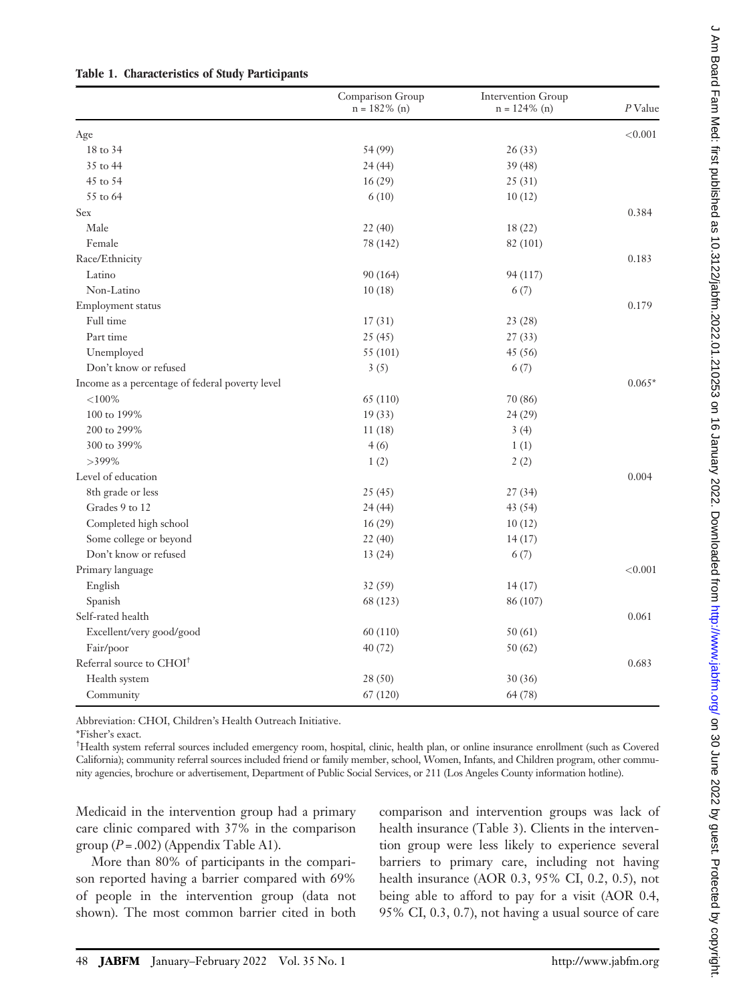|                                                 | Comparison Group<br>$n = 182\%$ (n) | Intervention Group<br>$n = 124\%$ (n) | $P$ Value |
|-------------------------------------------------|-------------------------------------|---------------------------------------|-----------|
| Age                                             |                                     |                                       | < 0.001   |
| 18 to 34                                        | 54 (99)                             | 26(33)                                |           |
| 35 to 44                                        | 24(44)                              | 39(48)                                |           |
| 45 to 54                                        | 16(29)                              | 25(31)                                |           |
| 55 to 64                                        | 6(10)                               | 10(12)                                |           |
| Sex                                             |                                     |                                       | 0.384     |
| Male                                            | 22(40)                              | 18(22)                                |           |
| Female                                          | 78 (142)                            | 82 (101)                              |           |
| Race/Ethnicity                                  |                                     |                                       | 0.183     |
| Latino                                          | 90 (164)                            | 94 (117)                              |           |
| Non-Latino                                      | 10(18)                              | 6(7)                                  |           |
| Employment status                               |                                     |                                       | 0.179     |
| Full time                                       | 17(31)                              | 23 (28)                               |           |
| Part time                                       | 25(45)                              | 27(33)                                |           |
| Unemployed                                      | 55 (101)                            | 45 (56)                               |           |
| Don't know or refused                           | 3(5)                                | 6(7)                                  |           |
| Income as a percentage of federal poverty level |                                     |                                       | $0.065*$  |
| ${<}100%$                                       | 65 (110)                            | 70 (86)                               |           |
| 100 to 199%                                     | 19(33)                              | 24(29)                                |           |
| 200 to 299%                                     | 11(18)                              | 3(4)                                  |           |
| 300 to 399%                                     | 4(6)                                | 1(1)                                  |           |
| $>399\%$                                        | 1(2)                                | 2(2)                                  |           |
| Level of education                              |                                     |                                       | 0.004     |
| 8th grade or less                               | 25(45)                              | 27(34)                                |           |
| Grades 9 to 12                                  | 24(44)                              | 43 (54)                               |           |
| Completed high school                           | 16(29)                              | 10(12)                                |           |
| Some college or beyond                          | 22(40)                              | 14(17)                                |           |
| Don't know or refused                           | 13(24)                              | 6(7)                                  |           |
| Primary language                                |                                     |                                       | < 0.001   |
| English                                         | 32(59)                              | 14(17)                                |           |
| Spanish                                         | 68 (123)                            | 86 (107)                              |           |
| Self-rated health                               |                                     |                                       | 0.061     |
| Excellent/very good/good                        | 60 (110)                            | 50(61)                                |           |
| Fair/poor                                       | 40(72)                              | 50(62)                                |           |
| Referral source to CHOI <sup>†</sup>            |                                     |                                       | 0.683     |
| Health system                                   | 28 (50)                             | 30(36)                                |           |
| Community                                       | 67 (120)                            | 64 (78)                               |           |

# Table 1. Characteristics of Study Participants

Abbreviation: CHOI, Children's Health Outreach Initiative.

\*Fisher's exact. †

Health system referral sources included emergency room, hospital, clinic, health plan, or online insurance enrollment (such as Covered California); community referral sources included friend or family member, school, Women, Infants, and Children program, other community agencies, brochure or advertisement, Department of Public Social Services, or 211 (Los Angeles County information hotline).

Medicaid in the intervention group had a primary care clinic compared with 37% in the comparison group  $(P=.002)$  (Appendix Table A1).

More than 80% of participants in the comparison reported having a barrier compared with 69% of people in the intervention group (data not shown). The most common barrier cited in both

comparison and intervention groups was lack of health insurance (Table 3). Clients in the intervention group were less likely to experience several barriers to primary care, including not having health insurance (AOR 0.3, 95% CI, 0.2, 0.5), not being able to afford to pay for a visit (AOR 0.4, 95% CI, 0.3, 0.7), not having a usual source of care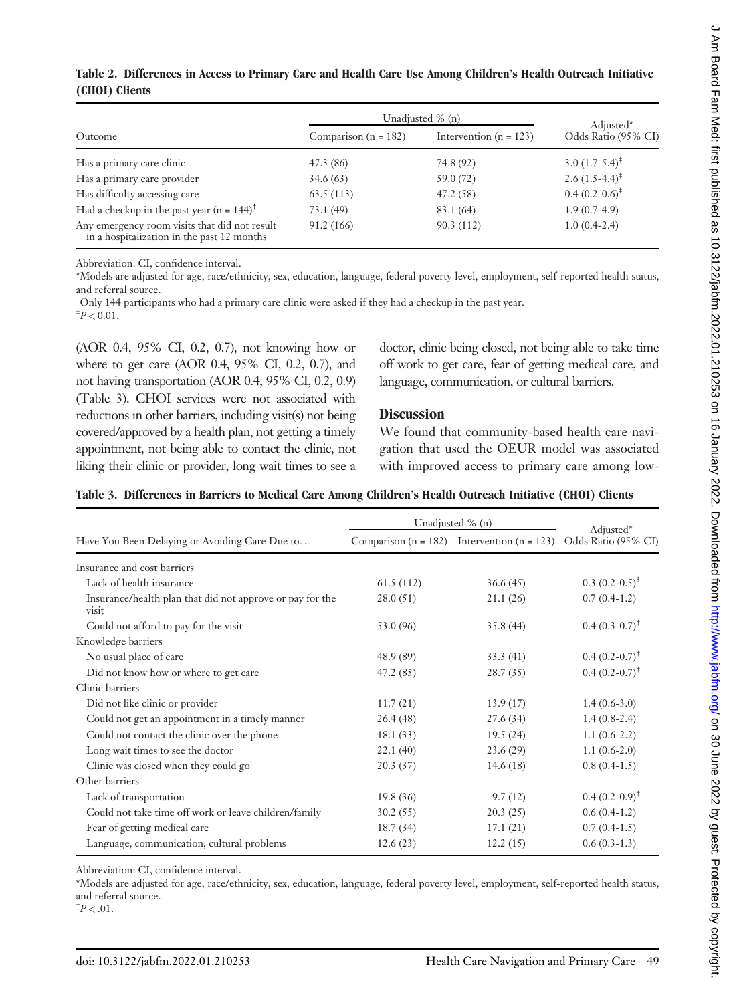|                |  |  | Table 2. Differences in Access to Primary Care and Health Care Use Among Children's Health Outreach Initiative |  |
|----------------|--|--|----------------------------------------------------------------------------------------------------------------|--|
| (CHOI) Clients |  |  |                                                                                                                |  |

|                                                                                             | Unadjusted % (n)         | Adjusted*                |                            |
|---------------------------------------------------------------------------------------------|--------------------------|--------------------------|----------------------------|
| Outcome                                                                                     | Comparison ( $n = 182$ ) | Intervention $(n = 123)$ | Odds Ratio (95% CI)        |
| Has a primary care clinic                                                                   | 47.3 (86)                | 74.8 (92)                | 3.0 $(1.7-5.4)^{\ddagger}$ |
| Has a primary care provider                                                                 | 34.6(63)                 | 59.0 (72)                | 2.6 $(1.5-4.4)^{\ddagger}$ |
| Has difficulty accessing care                                                               | 63.5(113)                | 47.2(58)                 | $0.4(0.2-0.6)^{\ddagger}$  |
| Had a checkup in the past year (n = $144$ ) <sup>†</sup>                                    | 73.1(49)                 | 83.1 (64)                | $1.9(0.7-4.9)$             |
| Any emergency room visits that did not result<br>in a hospitalization in the past 12 months | 91.2(166)                | 90.3(112)                | $1.0(0.4-2.4)$             |

Abbreviation: CI, confidence interval.

\*Models are adjusted for age, race/ethnicity, sex, education, language, federal poverty level, employment, self-reported health status, and referral source.

† Only 144 participants who had a primary care clinic were asked if they had a checkup in the past year.  $\frac{4}{7}P < 0.01$ .

(AOR 0.4, 95% CI, 0.2, 0.7), not knowing how or where to get care (AOR 0.4, 95% CI, 0.2, 0.7), and not having transportation (AOR 0.4, 95% CI, 0.2, 0.9) (Table 3). CHOI services were not associated with reductions in other barriers, including visit(s) not being covered/approved by a health plan, not getting a timely appointment, not being able to contact the clinic, not liking their clinic or provider, long wait times to see a

doctor, clinic being closed, not being able to take time off work to get care, fear of getting medical care, and language, communication, or cultural barriers.

#### **Discussion**

We found that community-based health care navigation that used the OEUR model was associated with improved access to primary care among low-

|  |  |  |  |  |  | Table 3. Differences in Barriers to Medical Care Among Children's Health Outreach Initiative (CHOI) Clients |  |
|--|--|--|--|--|--|-------------------------------------------------------------------------------------------------------------|--|
|--|--|--|--|--|--|-------------------------------------------------------------------------------------------------------------|--|

|                                                                    | Unadjusted % (n) |                                                     |                                  |  |
|--------------------------------------------------------------------|------------------|-----------------------------------------------------|----------------------------------|--|
| Have You Been Delaying or Avoiding Care Due to                     |                  | Comparison ( $n = 182$ ) Intervention ( $n = 123$ ) | Adjusted*<br>Odds Ratio (95% CI) |  |
| Insurance and cost barriers                                        |                  |                                                     |                                  |  |
| Lack of health insurance                                           | 61.5(112)        | 36.6(45)                                            | $0.3 (0.2 - 0.5)^3$              |  |
| Insurance/health plan that did not approve or pay for the<br>visit | 28.0(51)         | 21.1(26)                                            | $0.7(0.4-1.2)$                   |  |
| Could not afford to pay for the visit                              | 53.0 (96)        | 35.8(44)                                            | $0.4(0.3-0.7)^{\dagger}$         |  |
| Knowledge barriers                                                 |                  |                                                     |                                  |  |
| No usual place of care                                             | 48.9 (89)        | 33.3(41)                                            | $0.4(0.2-0.7)^{\dagger}$         |  |
| Did not know how or where to get care                              | 47.2 (85)        | 28.7(35)                                            | $0.4(0.2-0.7)^{\dagger}$         |  |
| Clinic barriers                                                    |                  |                                                     |                                  |  |
| Did not like clinic or provider                                    | 11.7(21)         | 13.9(17)                                            | $1.4(0.6-3.0)$                   |  |
| Could not get an appointment in a timely manner                    | 26.4(48)         | 27.6(34)                                            | $1.4(0.8-2.4)$                   |  |
| Could not contact the clinic over the phone                        | 18.1(33)         | 19.5(24)                                            | $1.1(0.6-2.2)$                   |  |
| Long wait times to see the doctor                                  | 22.1(40)         | 23.6 (29)                                           | $1.1(0.6-2.0)$                   |  |
| Clinic was closed when they could go                               | 20.3(37)         | 14.6 $(18)$                                         | $0.8(0.4-1.5)$                   |  |
| Other barriers                                                     |                  |                                                     |                                  |  |
| Lack of transportation                                             | 19.8(36)         | 9.7(12)                                             | $0.4(0.2-0.9)^{\dagger}$         |  |
| Could not take time off work or leave children/family              | 30.2(55)         | 20.3(25)                                            | $0.6(0.4-1.2)$                   |  |
| Fear of getting medical care                                       | 18.7(34)         | 17.1(21)                                            | $0.7(0.4-1.5)$                   |  |
| Language, communication, cultural problems                         | 12.6(23)         | 12.2(15)                                            | $0.6(0.3-1.3)$                   |  |

Abbreviation: CI, confidence interval.

\*Models are adjusted for age, race/ethnicity, sex, education, language, federal poverty level, employment, self-reported health status, and referral source.

 $\frac{1}{7}P < .01$ .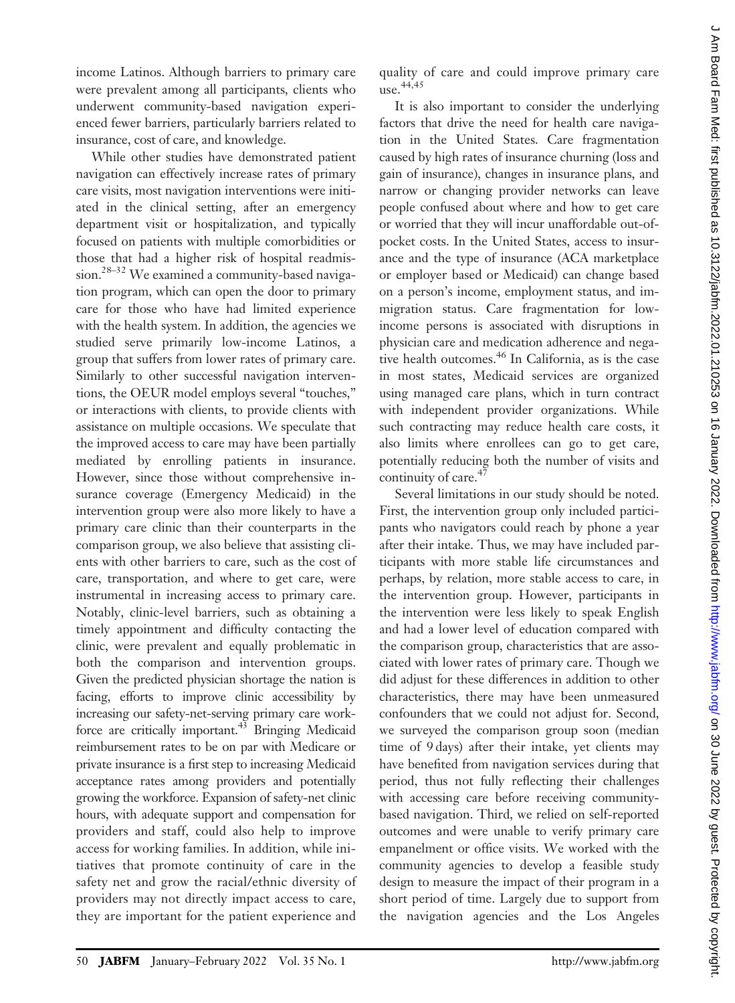income Latinos. Although barriers to primary care were prevalent among all participants, clients who underwent community-based navigation experienced fewer barriers, particularly barriers related to insurance, cost of care, and knowledge.

While other studies have demonstrated patient navigation can effectively increase rates of primary care visits, most navigation interventions were initiated in the clinical setting, after an emergency department visit or hospitalization, and typically focused on patients with multiple comorbidities or those that had a higher risk of hospital readmission.<sup>28-32</sup> We examined a community-based navigation program, which can open the door to primary care for those who have had limited experience with the health system. In addition, the agencies we studied serve primarily low-income Latinos, a group that suffers from lower rates of primary care. Similarly to other successful navigation interventions, the OEUR model employs several "touches," or interactions with clients, to provide clients with assistance on multiple occasions. We speculate that the improved access to care may have been partially mediated by enrolling patients in insurance. However, since those without comprehensive insurance coverage (Emergency Medicaid) in the intervention group were also more likely to have a primary care clinic than their counterparts in the comparison group, we also believe that assisting clients with other barriers to care, such as the cost of care, transportation, and where to get care, were instrumental in increasing access to primary care. Notably, clinic-level barriers, such as obtaining a timely appointment and difficulty contacting the clinic, were prevalent and equally problematic in both the comparison and intervention groups. Given the predicted physician shortage the nation is facing, efforts to improve clinic accessibility by increasing our safety-net-serving primary care workforce are critically important.<sup>43</sup> Bringing Medicaid reimbursement rates to be on par with Medicare or private insurance is a first step to increasing Medicaid acceptance rates among providers and potentially growing the workforce. Expansion of safety-net clinic hours, with adequate support and compensation for providers and staff, could also help to improve access for working families. In addition, while initiatives that promote continuity of care in the safety net and grow the racial/ethnic diversity of providers may not directly impact access to care, they are important for the patient experience and

quality of care and could improve primary care  $use.$ <sup>44,45</sup>

It is also important to consider the underlying factors that drive the need for health care navigation in the United States. Care fragmentation caused by high rates of insurance churning (loss and gain of insurance), changes in insurance plans, and narrow or changing provider networks can leave people confused about where and how to get care or worried that they will incur unaffordable out-ofpocket costs. In the United States, access to insurance and the type of insurance (ACA marketplace or employer based or Medicaid) can change based on a person's income, employment status, and immigration status. Care fragmentation for lowincome persons is associated with disruptions in physician care and medication adherence and negative health outcomes.<sup>46</sup> In California, as is the case in most states, Medicaid services are organized using managed care plans, which in turn contract with independent provider organizations. While such contracting may reduce health care costs, it also limits where enrollees can go to get care, potentially reducing both the number of visits and continuity of care.<sup>47</sup>

Several limitations in our study should be noted. First, the intervention group only included participants who navigators could reach by phone a year after their intake. Thus, we may have included participants with more stable life circumstances and perhaps, by relation, more stable access to care, in the intervention group. However, participants in the intervention were less likely to speak English and had a lower level of education compared with the comparison group, characteristics that are associated with lower rates of primary care. Though we did adjust for these differences in addition to other characteristics, there may have been unmeasured confounders that we could not adjust for. Second, we surveyed the comparison group soon (median time of 9 days) after their intake, yet clients may have benefited from navigation services during that period, thus not fully reflecting their challenges with accessing care before receiving communitybased navigation. Third, we relied on self-reported outcomes and were unable to verify primary care empanelment or office visits. We worked with the community agencies to develop a feasible study design to measure the impact of their program in a short period of time. Largely due to support from the navigation agencies and the Los Angeles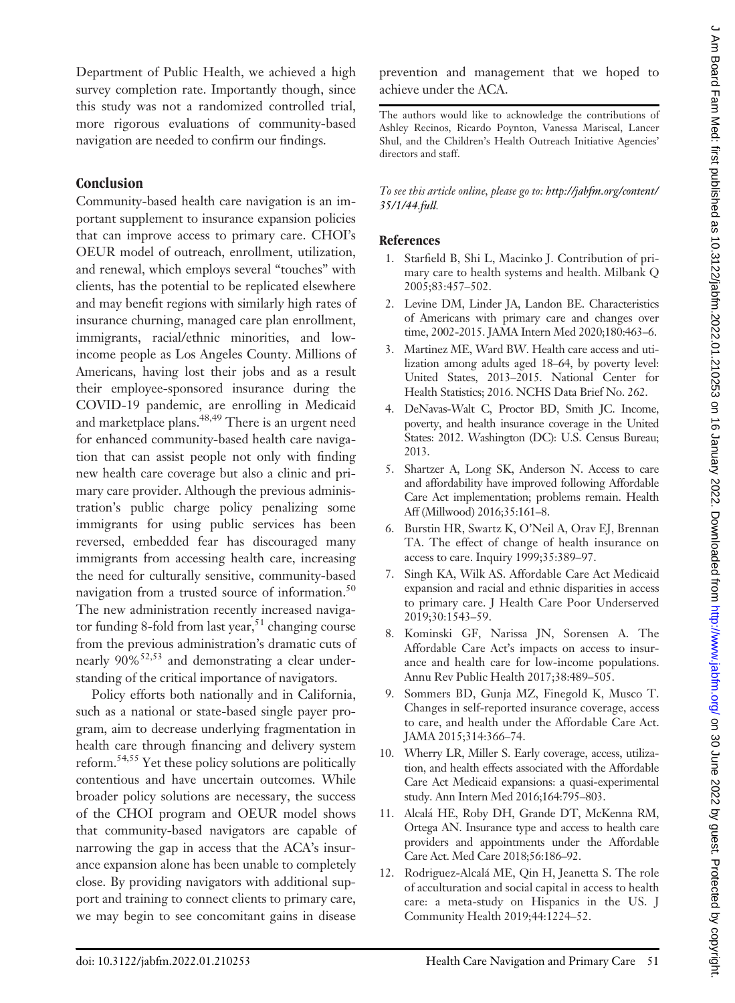Department of Public Health, we achieved a high survey completion rate. Importantly though, since this study was not a randomized controlled trial, more rigorous evaluations of community-based navigation are needed to confirm our findings.

# Conclusion

Community-based health care navigation is an important supplement to insurance expansion policies that can improve access to primary care. CHOI's OEUR model of outreach, enrollment, utilization, and renewal, which employs several "touches" with clients, has the potential to be replicated elsewhere and may benefit regions with similarly high rates of insurance churning, managed care plan enrollment, immigrants, racial/ethnic minorities, and lowincome people as Los Angeles County. Millions of Americans, having lost their jobs and as a result their employee-sponsored insurance during the COVID-19 pandemic, are enrolling in Medicaid and marketplace plans.<sup>48,49</sup> There is an urgent need for enhanced community-based health care navigation that can assist people not only with finding new health care coverage but also a clinic and primary care provider. Although the previous administration's public charge policy penalizing some immigrants for using public services has been reversed, embedded fear has discouraged many immigrants from accessing health care, increasing the need for culturally sensitive, community-based navigation from a trusted source of information.<sup>50</sup> The new administration recently increased navigator funding 8-fold from last year,  $51$  changing course from the previous administration's dramatic cuts of nearly  $90\%$ <sup>52,53</sup> and demonstrating a clear understanding of the critical importance of navigators.

Policy efforts both nationally and in California, such as a national or state-based single payer program, aim to decrease underlying fragmentation in health care through financing and delivery system reform.<sup>54,55</sup> Yet these policy solutions are politically contentious and have uncertain outcomes. While broader policy solutions are necessary, the success of the CHOI program and OEUR model shows that community-based navigators are capable of narrowing the gap in access that the ACA's insurance expansion alone has been unable to completely close. By providing navigators with additional support and training to connect clients to primary care, we may begin to see concomitant gains in disease

prevention and management that we hoped to achieve under the ACA.

The authors would like to acknowledge the contributions of Ashley Recinos, Ricardo Poynton, Vanessa Mariscal, Lancer Shul, and the Children's Health Outreach Initiative Agencies' directors and staff.

To see this article online, please go to: [http://jabfm.org/content/](http://jabfm.org/content/35/1/44.full) [35/1/44.full](http://jabfm.org/content/35/1/44.full).

#### **References**

- 1. Starfield B, Shi L, Macinko J. Contribution of primary care to health systems and health. Milbank Q 2005;83:457–502.
- 2. Levine DM, Linder JA, Landon BE. Characteristics of Americans with primary care and changes over time, 2002-2015. JAMA Intern Med 2020;180:463–6.
- 3. Martinez ME, Ward BW. Health care access and utilization among adults aged 18–64, by poverty level: United States, 2013–2015. National Center for Health Statistics; 2016. NCHS Data Brief No. 262.
- 4. DeNavas-Walt C, Proctor BD, Smith JC. Income, poverty, and health insurance coverage in the United States: 2012. Washington (DC): U.S. Census Bureau; 2013.
- 5. Shartzer A, Long SK, Anderson N. Access to care and affordability have improved following Affordable Care Act implementation; problems remain. Health Aff (Millwood) 2016;35:161–8.
- 6. Burstin HR, Swartz K, O'Neil A, Orav EJ, Brennan TA. The effect of change of health insurance on access to care. Inquiry 1999;35:389–97.
- 7. Singh KA, Wilk AS. Affordable Care Act Medicaid expansion and racial and ethnic disparities in access to primary care. J Health Care Poor Underserved 2019;30:1543–59.
- 8. Kominski GF, Narissa JN, Sorensen A. The Affordable Care Act's impacts on access to insurance and health care for low-income populations. Annu Rev Public Health 2017;38:489–505.
- 9. Sommers BD, Gunja MZ, Finegold K, Musco T. Changes in self-reported insurance coverage, access to care, and health under the Affordable Care Act. JAMA 2015;314:366–74.
- 10. Wherry LR, Miller S. Early coverage, access, utilization, and health effects associated with the Affordable Care Act Medicaid expansions: a quasi-experimental study. Ann Intern Med 2016;164:795–803.
- 11. Alcalá HE, Roby DH, Grande DT, McKenna RM, Ortega AN. Insurance type and access to health care providers and appointments under the Affordable Care Act. Med Care 2018;56:186–92.
- 12. Rodriguez-Alcalá ME, Qin H, Jeanetta S. The role of acculturation and social capital in access to health care: a meta-study on Hispanics in the US. J Community Health 2019;44:1224–52.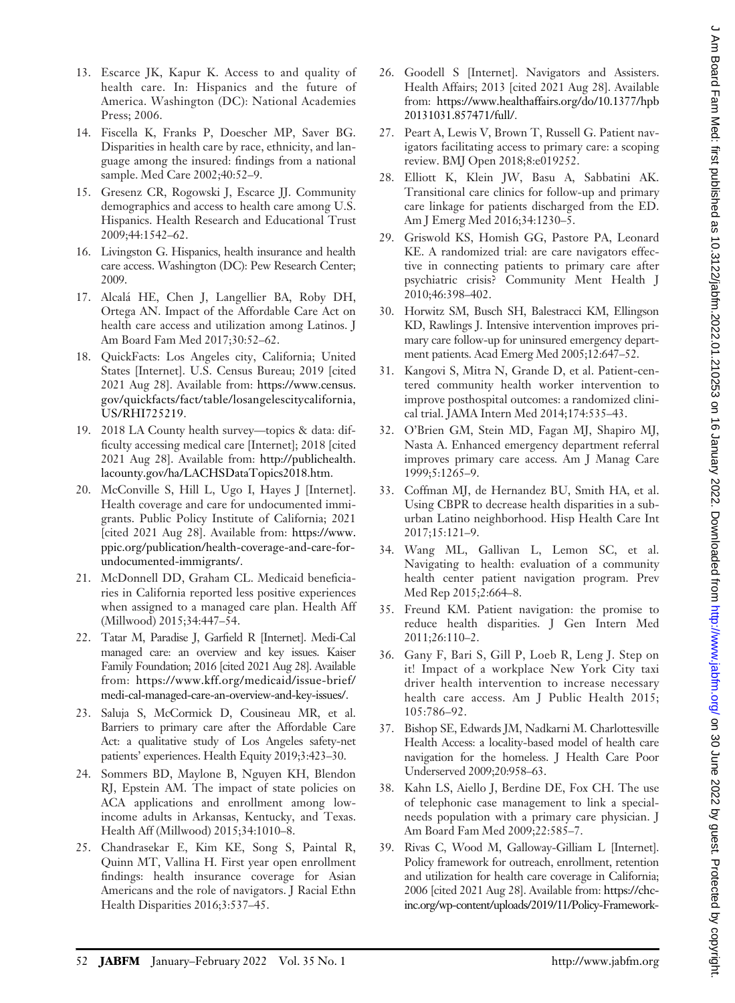- 13. Escarce JK, Kapur K. Access to and quality of health care. In: Hispanics and the future of America. Washington (DC): National Academies Press; 2006.
- 14. Fiscella K, Franks P, Doescher MP, Saver BG. Disparities in health care by race, ethnicity, and language among the insured: findings from a national sample. Med Care 2002;40:52–9.
- 15. Gresenz CR, Rogowski J, Escarce JJ. Community demographics and access to health care among U.S. Hispanics. Health Research and Educational Trust 2009;44:1542–62.
- 16. Livingston G. Hispanics, health insurance and health care access. Washington (DC): Pew Research Center; 2009.
- 17. Alcalá HE, Chen J, Langellier BA, Roby DH, Ortega AN. Impact of the Affordable Care Act on health care access and utilization among Latinos. J Am Board Fam Med 2017;30:52–62.
- 18. QuickFacts: Los Angeles city, California; United States [Internet]. U.S. Census Bureau; 2019 [cited 2021 Aug 28]. Available from: [https://www.census.](https://www.census.gov/quickfacts/fact/table/losangelescitycalifornia,US/RHI725219) [gov/quickfacts/fact/table/losangelescitycalifornia,](https://www.census.gov/quickfacts/fact/table/losangelescitycalifornia,US/RHI725219) [US/RHI725219.](https://www.census.gov/quickfacts/fact/table/losangelescitycalifornia,US/RHI725219)
- 19. 2018 LA County health survey—topics & data: difficulty accessing medical care [Internet]; 2018 [cited 2021 Aug 28]. Available from: [http://publichealth.](http://publichealth.lacounty.gov/ha/LACHSDataTopics2018.htm) [lacounty.gov/ha/LACHSDataTopics2018.htm.](http://publichealth.lacounty.gov/ha/LACHSDataTopics2018.htm)
- 20. McConville S, Hill L, Ugo I, Hayes J [Internet]. Health coverage and care for undocumented immigrants. Public Policy Institute of California; 2021 [cited 2021 Aug 28]. Available from: [https://www.](https://www.ppic.org/publication/health-coverage-and-care-for-undocumented-immigrants/) [ppic.org/publication/health-coverage-and-care-for](https://www.ppic.org/publication/health-coverage-and-care-for-undocumented-immigrants/)[undocumented-immigrants/](https://www.ppic.org/publication/health-coverage-and-care-for-undocumented-immigrants/).
- 21. McDonnell DD, Graham CL. Medicaid beneficiaries in California reported less positive experiences when assigned to a managed care plan. Health Aff (Millwood) 2015;34:447–54.
- 22. Tatar M, Paradise J, Garfield R [Internet]. Medi-Cal managed care: an overview and key issues. Kaiser Family Foundation; 2016 [cited 2021 Aug 28]. Available from: [https://www.kff.org/medicaid/issue-brief/](https://www.kff.org/medicaid/issue-brief/medi-cal-managed-care-an-overview-and-key-issues/) [medi-cal-managed-care-an-overview-and-key-issues/.](https://www.kff.org/medicaid/issue-brief/medi-cal-managed-care-an-overview-and-key-issues/)
- 23. Saluja S, McCormick D, Cousineau MR, et al. Barriers to primary care after the Affordable Care Act: a qualitative study of Los Angeles safety-net patients' experiences. Health Equity 2019;3:423–30.
- 24. Sommers BD, Maylone B, Nguyen KH, Blendon RJ, Epstein AM. The impact of state policies on ACA applications and enrollment among lowincome adults in Arkansas, Kentucky, and Texas. Health Aff (Millwood) 2015;34:1010–8.
- 25. Chandrasekar E, Kim KE, Song S, Paintal R, Quinn MT, Vallina H. First year open enrollment findings: health insurance coverage for Asian Americans and the role of navigators. J Racial Ethn Health Disparities 2016;3:537–45.
- 26. Goodell S [Internet]. Navigators and Assisters. Health Affairs; 2013 [cited 2021 Aug 28]. Available from: [https://www.healthaffairs.org/do/10.1377/hpb](https://www.healthaffairs.org/do/10.1377/hpb20131031.857471/full/) [20131031.857471/full/.](https://www.healthaffairs.org/do/10.1377/hpb20131031.857471/full/)
- 27. Peart A, Lewis V, Brown T, Russell G. Patient navigators facilitating access to primary care: a scoping review. BMJ Open 2018;8:e019252.
- 28. Elliott K, Klein JW, Basu A, Sabbatini AK. Transitional care clinics for follow-up and primary care linkage for patients discharged from the ED. Am J Emerg Med 2016;34:1230–5.
- 29. Griswold KS, Homish GG, Pastore PA, Leonard KE. A randomized trial: are care navigators effective in connecting patients to primary care after psychiatric crisis? Community Ment Health J 2010;46:398–402.
- 30. Horwitz SM, Busch SH, Balestracci KM, Ellingson KD, Rawlings J. Intensive intervention improves primary care follow-up for uninsured emergency department patients. Acad Emerg Med 2005;12:647–52.
- 31. Kangovi S, Mitra N, Grande D, et al. Patient-centered community health worker intervention to improve posthospital outcomes: a randomized clinical trial. JAMA Intern Med 2014;174:535–43.
- 32. O'Brien GM, Stein MD, Fagan MJ, Shapiro MJ, Nasta A. Enhanced emergency department referral improves primary care access. Am J Manag Care 1999;5:1265–9.
- 33. Coffman MJ, de Hernandez BU, Smith HA, et al. Using CBPR to decrease health disparities in a suburban Latino neighborhood. Hisp Health Care Int 2017;15:121–9.
- 34. Wang ML, Gallivan L, Lemon SC, et al. Navigating to health: evaluation of a community health center patient navigation program. Prev Med Rep 2015;2:664–8.
- 35. Freund KM. Patient navigation: the promise to reduce health disparities. J Gen Intern Med 2011;26:110–2.
- 36. Gany F, Bari S, Gill P, Loeb R, Leng J. Step on it! Impact of a workplace New York City taxi driver health intervention to increase necessary health care access. Am J Public Health 2015; 105:786–92.
- 37. Bishop SE, Edwards JM, Nadkarni M. Charlottesville Health Access: a locality-based model of health care navigation for the homeless. J Health Care Poor Underserved 2009;20:958–63.
- 38. Kahn LS, Aiello J, Berdine DE, Fox CH. The use of telephonic case management to link a specialneeds population with a primary care physician. J Am Board Fam Med 2009;22:585–7.
- 39. Rivas C, Wood M, Galloway-Gilliam L [Internet]. Policy framework for outreach, enrollment, retention and utilization for health care coverage in California; 2006 [cited 2021 Aug 28]. Available from: [https://chc](https://chc-inc.org/wp-content/uploads/2019/11/Policy-Framework-for-Outreach-Enrollment-Retention-Utilization-for-Healthcare-Coverage-in-California.pdf)[inc.org/wp-content/uploads/2019/11/Policy-Framework-](https://chc-inc.org/wp-content/uploads/2019/11/Policy-Framework-for-Outreach-Enrollment-Retention-Utilization-for-Healthcare-Coverage-in-California.pdf)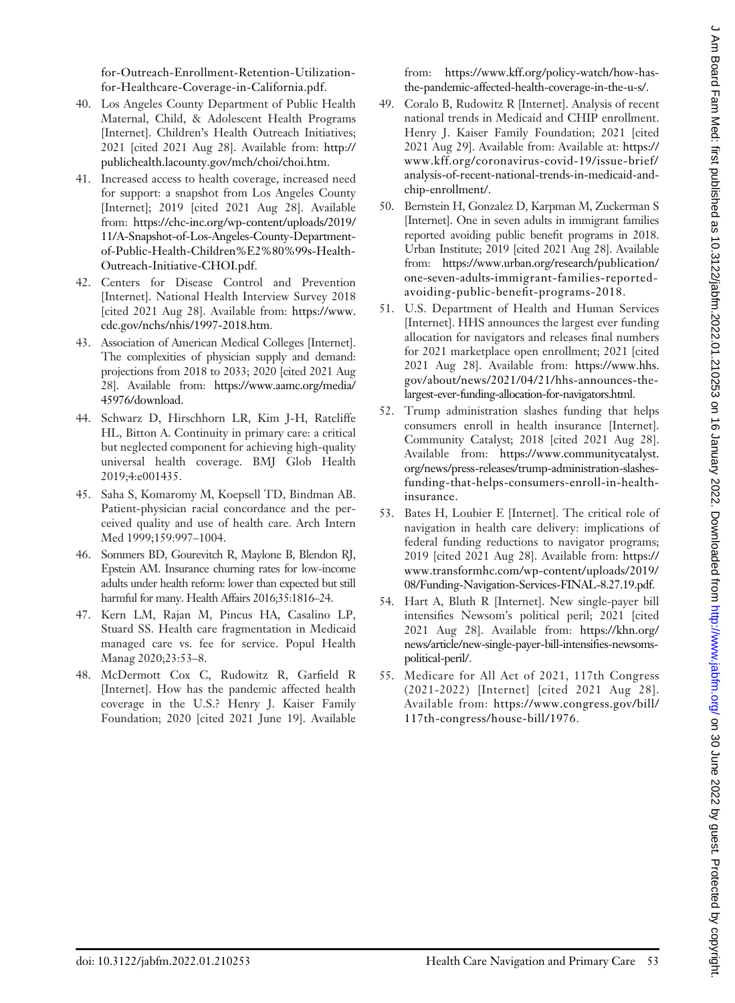[for-Outreach-Enrollment-Retention-Utilization](https://chc-inc.org/wp-content/uploads/2019/11/Policy-Framework-for-Outreach-Enrollment-Retention-Utilization-for-Healthcare-Coverage-in-California.pdf)[for-Healthcare-Coverage-in-California.pdf.](https://chc-inc.org/wp-content/uploads/2019/11/Policy-Framework-for-Outreach-Enrollment-Retention-Utilization-for-Healthcare-Coverage-in-California.pdf)

- 40. Los Angeles County Department of Public Health Maternal, Child, & Adolescent Health Programs [Internet]. Children's Health Outreach Initiatives; 2021 [cited 2021 Aug 28]. Available from: [http://](http://publichealth.lacounty.gov/mch/choi/choi.htm) [publichealth.lacounty.gov/mch/choi/choi.htm](http://publichealth.lacounty.gov/mch/choi/choi.htm).
- 41. Increased access to health coverage, increased need for support: a snapshot from Los Angeles County [Internet]; 2019 [cited 2021 Aug 28]. Available from: [https://chc-inc.org/wp-content/uploads/2019/](https://chc-inc.org/wp-content/uploads/2019/11/A-Snapshot-of-Los-Angeles-County-Department-of-Public-Health-Children%E2%80%99s-Health-Outreach-Initiative-CHOI.pdf) [11/A-Snapshot-of-Los-Angeles-County-Department](https://chc-inc.org/wp-content/uploads/2019/11/A-Snapshot-of-Los-Angeles-County-Department-of-Public-Health-Children%E2%80%99s-Health-Outreach-Initiative-CHOI.pdf)[of-Public-Health-Children%E2%80%99s-Health-](https://chc-inc.org/wp-content/uploads/2019/11/A-Snapshot-of-Los-Angeles-County-Department-of-Public-Health-Children%E2%80%99s-Health-Outreach-Initiative-CHOI.pdf)[Outreach-Initiative-CHOI.pdf](https://chc-inc.org/wp-content/uploads/2019/11/A-Snapshot-of-Los-Angeles-County-Department-of-Public-Health-Children%E2%80%99s-Health-Outreach-Initiative-CHOI.pdf).
- 42. Centers for Disease Control and Prevention [Internet]. National Health Interview Survey 2018 [cited 2021 Aug 28]. Available from: [https://www.](https://www.cdc.gov/nchs/nhis/1997-2018.htm) [cdc.gov/nchs/nhis/1997-2018.htm](https://www.cdc.gov/nchs/nhis/1997-2018.htm).
- 43. Association of American Medical Colleges [Internet]. The complexities of physician supply and demand: projections from 2018 to 2033; 2020 [cited 2021 Aug 28]. Available from: [https://www.aamc.org/media/](https://www.aamc.org/media/45976/download) [45976/download](https://www.aamc.org/media/45976/download).
- 44. Schwarz D, Hirschhorn LR, Kim J-H, Ratcliffe HL, Bitton A. Continuity in primary care: a critical but neglected component for achieving high-quality universal health coverage. BMJ Glob Health 2019;4:e001435.
- 45. Saha S, Komaromy M, Koepsell TD, Bindman AB. Patient-physician racial concordance and the perceived quality and use of health care. Arch Intern Med 1999;159:997–1004.
- 46. Sommers BD, Gourevitch R, Maylone B, Blendon RJ, Epstein AM. Insurance churning rates for low-income adults under health reform: lower than expected but still harmful for many. Health Affairs 2016;35:1816–24.
- 47. Kern LM, Rajan M, Pincus HA, Casalino LP, Stuard SS. Health care fragmentation in Medicaid managed care vs. fee for service. Popul Health Manag 2020;23:53–8.
- 48. McDermott Cox C, Rudowitz R, Garfield R [Internet]. How has the pandemic affected health coverage in the U.S.? Henry J. Kaiser Family Foundation; 2020 [cited 2021 June 19]. Available

from: [https://www.kff.org/policy-watch/how-has](https://www.kff.org/policy-watch/how-has-the-pandemic-affected-health-coverage-in-the-u-s/)[the-pandemic-affected-health-coverage-in-the-u-s/](https://www.kff.org/policy-watch/how-has-the-pandemic-affected-health-coverage-in-the-u-s/).

- 49. Coralo B, Rudowitz R [Internet]. Analysis of recent national trends in Medicaid and CHIP enrollment. Henry J. Kaiser Family Foundation; 2021 [cited 2021 Aug 29]. Available from: Available at: [https://](https://www.kff.org/coronavirus-covid-19/issue-brief/analysis-of-recent-national-trends-in-medicaid-and-chip-enrollment/) [www.kff.org/coronavirus-covid-19/issue-brief/](https://www.kff.org/coronavirus-covid-19/issue-brief/analysis-of-recent-national-trends-in-medicaid-and-chip-enrollment/) [analysis-of-recent-national-trends-in-medicaid-and](https://www.kff.org/coronavirus-covid-19/issue-brief/analysis-of-recent-national-trends-in-medicaid-and-chip-enrollment/)[chip-enrollment/.](https://www.kff.org/coronavirus-covid-19/issue-brief/analysis-of-recent-national-trends-in-medicaid-and-chip-enrollment/)
- 50. Bernstein H, Gonzalez D, Karpman M, Zuckerman S [Internet]. One in seven adults in immigrant families reported avoiding public benefit programs in 2018. Urban Institute; 2019 [cited 2021 Aug 28]. Available from: [https://www.urban.org/research/publication/](https://www.urban.org/research/publication/one-seven-adults-immigrant-families-reported-avoiding-public-benefit-programs-2018) [one-seven-adults-immigrant-families-reported](https://www.urban.org/research/publication/one-seven-adults-immigrant-families-reported-avoiding-public-benefit-programs-2018)[avoiding-public-bene](https://www.urban.org/research/publication/one-seven-adults-immigrant-families-reported-avoiding-public-benefit-programs-2018)fit-programs-2018.
- 51. U.S. Department of Health and Human Services [Internet]. HHS announces the largest ever funding allocation for navigators and releases final numbers for 2021 marketplace open enrollment; 2021 [cited 2021 Aug 28]. Available from: [https://www.hhs.](https://www.hhs.gov/about/news/2021/04/21/hhs-announces-the-largest-ever-funding-allocation-for-navigators.html) [gov/about/news/2021/04/21/hhs-announces-the](https://www.hhs.gov/about/news/2021/04/21/hhs-announces-the-largest-ever-funding-allocation-for-navigators.html)[largest-ever-funding-allocation-for-navigators.html.](https://www.hhs.gov/about/news/2021/04/21/hhs-announces-the-largest-ever-funding-allocation-for-navigators.html)
- 52. Trump administration slashes funding that helps consumers enroll in health insurance [Internet]. Community Catalyst; 2018 [cited 2021 Aug 28]. Available from: [https://www.communitycatalyst.](https://www.communitycatalyst.org/news/press-releases/trump-administration-slashes-funding-that-helps-consumers-enroll-in-health-insurance) [org/news/press-releases/trump-administration-slashes](https://www.communitycatalyst.org/news/press-releases/trump-administration-slashes-funding-that-helps-consumers-enroll-in-health-insurance)[funding-that-helps-consumers-enroll-in-health](https://www.communitycatalyst.org/news/press-releases/trump-administration-slashes-funding-that-helps-consumers-enroll-in-health-insurance)[insurance](https://www.communitycatalyst.org/news/press-releases/trump-administration-slashes-funding-that-helps-consumers-enroll-in-health-insurance).
- 53. Bates H, Loubier E [Internet]. The critical role of navigation in health care delivery: implications of federal funding reductions to navigator programs; 2019 [cited 2021 Aug 28]. Available from: [https://](https://www.transformhc.com/wp-content/uploads/2019/08/Funding-Navigation-Services-FINAL-8.27.19.pdf) [www.transformhc.com/wp-content/uploads/2019/](https://www.transformhc.com/wp-content/uploads/2019/08/Funding-Navigation-Services-FINAL-8.27.19.pdf) [08/Funding-Navigation-Services-FINAL-8.27.19.pdf](https://www.transformhc.com/wp-content/uploads/2019/08/Funding-Navigation-Services-FINAL-8.27.19.pdf).
- 54. Hart A, Bluth R [Internet]. New single-payer bill intensifies Newsom's political peril; 2021 [cited 2021 Aug 28]. Available from: [https://khn.org/](https://khn.org/news/article/new-single-payer-bill-intensifies-newsoms-political-peril/) [news/article/new-single-payer-bill-intensi](https://khn.org/news/article/new-single-payer-bill-intensifies-newsoms-political-peril/)fies-newsoms[political-peril/.](https://khn.org/news/article/new-single-payer-bill-intensifies-newsoms-political-peril/)
- 55. Medicare for All Act of 2021, 117th Congress (2021-2022) [Internet] [cited 2021 Aug 28]. Available from: [https://www.congress.gov/bill/](https://www.congress.gov/bill/117th-congress/house-bill/1976) [117th-congress/house-bill/1976.](https://www.congress.gov/bill/117th-congress/house-bill/1976)